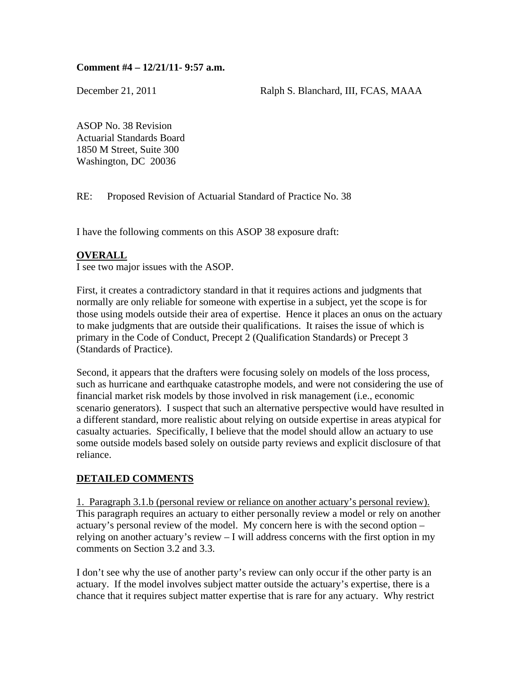### **Comment #4 – 12/21/11- 9:57 a.m.**

December 21, 2011 Ralph S. Blanchard, III, FCAS, MAAA

ASOP No. 38 Revision Actuarial Standards Board 1850 M Street, Suite 300 Washington, DC 20036

RE: Proposed Revision of Actuarial Standard of Practice No. 38

I have the following comments on this ASOP 38 exposure draft:

## **OVERALL**

I see two major issues with the ASOP.

First, it creates a contradictory standard in that it requires actions and judgments that normally are only reliable for someone with expertise in a subject, yet the scope is for those using models outside their area of expertise. Hence it places an onus on the actuary to make judgments that are outside their qualifications. It raises the issue of which is primary in the Code of Conduct, Precept 2 (Qualification Standards) or Precept 3 (Standards of Practice).

Second, it appears that the drafters were focusing solely on models of the loss process, such as hurricane and earthquake catastrophe models, and were not considering the use of financial market risk models by those involved in risk management (i.e., economic scenario generators). I suspect that such an alternative perspective would have resulted in a different standard, more realistic about relying on outside expertise in areas atypical for casualty actuaries. Specifically, I believe that the model should allow an actuary to use some outside models based solely on outside party reviews and explicit disclosure of that reliance.

## **DETAILED COMMENTS**

1. Paragraph 3.1.b (personal review or reliance on another actuary's personal review). This paragraph requires an actuary to either personally review a model or rely on another actuary's personal review of the model. My concern here is with the second option – relying on another actuary's review – I will address concerns with the first option in my comments on Section 3.2 and 3.3.

I don't see why the use of another party's review can only occur if the other party is an actuary. If the model involves subject matter outside the actuary's expertise, there is a chance that it requires subject matter expertise that is rare for any actuary. Why restrict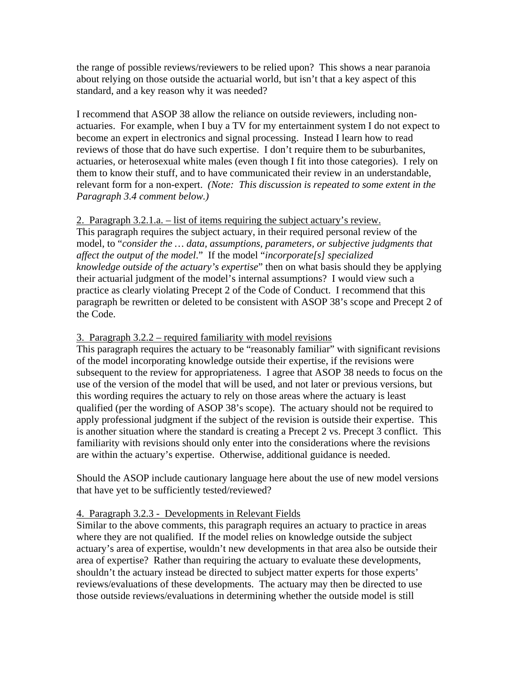the range of possible reviews/reviewers to be relied upon? This shows a near paranoia about relying on those outside the actuarial world, but isn't that a key aspect of this standard, and a key reason why it was needed?

I recommend that ASOP 38 allow the reliance on outside reviewers, including nonactuaries. For example, when I buy a TV for my entertainment system I do not expect to become an expert in electronics and signal processing. Instead I learn how to read reviews of those that do have such expertise. I don't require them to be suburbanites, actuaries, or heterosexual white males (even though I fit into those categories). I rely on them to know their stuff, and to have communicated their review in an understandable, relevant form for a non-expert. *(Note: This discussion is repeated to some extent in the Paragraph 3.4 comment below.)*

## 2. Paragraph 3.2.1.a. – list of items requiring the subject actuary's review.

This paragraph requires the subject actuary, in their required personal review of the model, to "*consider the … data, assumptions, parameters, or subjective judgments that affect the output of the model*." If the model "*incorporate[s] specialized knowledge outside of the actuary's expertise*" then on what basis should they be applying their actuarial judgment of the model's internal assumptions? I would view such a practice as clearly violating Precept 2 of the Code of Conduct. I recommend that this paragraph be rewritten or deleted to be consistent with ASOP 38's scope and Precept 2 of the Code.

## 3. Paragraph 3.2.2 – required familiarity with model revisions

This paragraph requires the actuary to be "reasonably familiar" with significant revisions of the model incorporating knowledge outside their expertise, if the revisions were subsequent to the review for appropriateness. I agree that ASOP 38 needs to focus on the use of the version of the model that will be used, and not later or previous versions, but this wording requires the actuary to rely on those areas where the actuary is least qualified (per the wording of ASOP 38's scope). The actuary should not be required to apply professional judgment if the subject of the revision is outside their expertise. This is another situation where the standard is creating a Precept 2 vs. Precept 3 conflict. This familiarity with revisions should only enter into the considerations where the revisions are within the actuary's expertise. Otherwise, additional guidance is needed.

Should the ASOP include cautionary language here about the use of new model versions that have yet to be sufficiently tested/reviewed?

## 4. Paragraph 3.2.3 - Developments in Relevant Fields

Similar to the above comments, this paragraph requires an actuary to practice in areas where they are not qualified. If the model relies on knowledge outside the subject actuary's area of expertise, wouldn't new developments in that area also be outside their area of expertise? Rather than requiring the actuary to evaluate these developments, shouldn't the actuary instead be directed to subject matter experts for those experts' reviews/evaluations of these developments. The actuary may then be directed to use those outside reviews/evaluations in determining whether the outside model is still